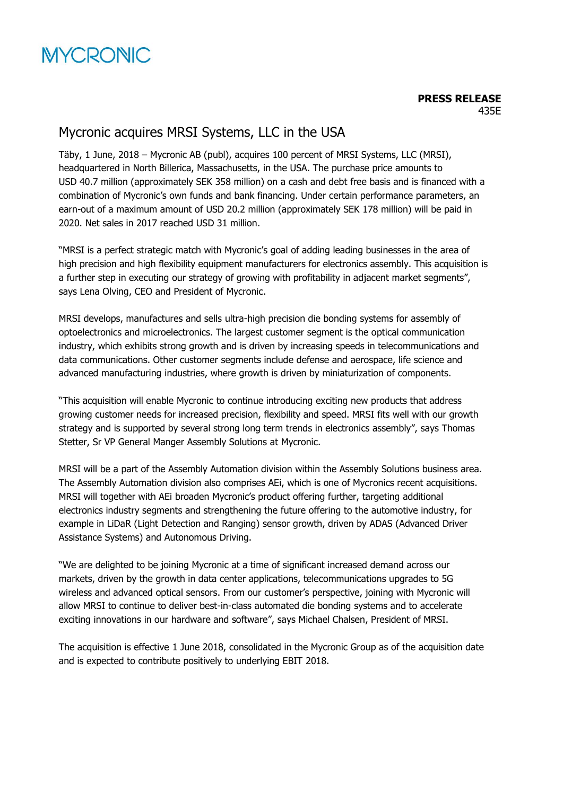

## Mycronic acquires MRSI Systems, LLC in the USA

Täby, 1 June, 2018 – Mycronic AB (publ), acquires 100 percent of MRSI Systems, LLC (MRSI), headquartered in North Billerica, Massachusetts, in the USA. The purchase price amounts to USD 40.7 million (approximately SEK 358 million) on a cash and debt free basis and is financed with a combination of Mycronic's own funds and bank financing. Under certain performance parameters, an earn-out of a maximum amount of USD 20.2 million (approximately SEK 178 million) will be paid in 2020. Net sales in 2017 reached USD 31 million.

"MRSI is a perfect strategic match with Mycronic's goal of adding leading businesses in the area of high precision and high flexibility equipment manufacturers for electronics assembly. This acquisition is a further step in executing our strategy of growing with profitability in adjacent market segments", says Lena Olving, CEO and President of Mycronic.

MRSI develops, manufactures and sells ultra-high precision die bonding systems for assembly of optoelectronics and microelectronics. The largest customer segment is the optical communication industry, which exhibits strong growth and is driven by increasing speeds in telecommunications and data communications. Other customer segments include defense and aerospace, life science and advanced manufacturing industries, where growth is driven by miniaturization of components.

"This acquisition will enable Mycronic to continue introducing exciting new products that address growing customer needs for increased precision, flexibility and speed. MRSI fits well with our growth strategy and is supported by several strong long term trends in electronics assembly", says Thomas Stetter, Sr VP General Manger Assembly Solutions at Mycronic.

MRSI will be a part of the Assembly Automation division within the Assembly Solutions business area. The Assembly Automation division also comprises AEi, which is one of Mycronics recent acquisitions. MRSI will together with AEi broaden Mycronic's product offering further, targeting additional electronics industry segments and strengthening the future offering to the automotive industry, for example in LiDaR (Light Detection and Ranging) sensor growth, driven by ADAS (Advanced Driver Assistance Systems) and Autonomous Driving.

"We are delighted to be joining Mycronic at a time of significant increased demand across our markets, driven by the growth in data center applications, telecommunications upgrades to 5G wireless and advanced optical sensors. From our customer's perspective, joining with Mycronic will allow MRSI to continue to deliver best-in-class automated die bonding systems and to accelerate exciting innovations in our hardware and software", says Michael Chalsen, President of MRSI.

The acquisition is effective 1 June 2018, consolidated in the Mycronic Group as of the acquisition date and is expected to contribute positively to underlying EBIT 2018.